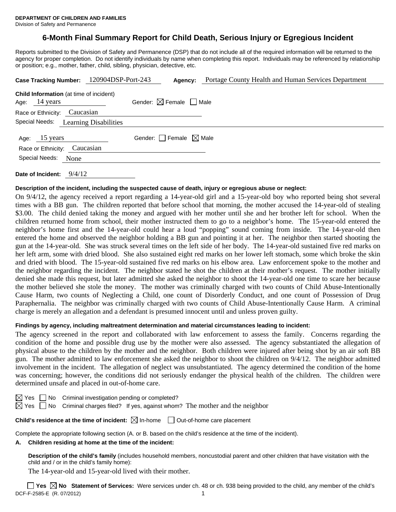## **6-Month Final Summary Report for Child Death, Serious Injury or Egregious Incident**

Reports submitted to the Division of Safety and Permanence (DSP) that do not include all of the required information will be returned to the agency for proper completion. Do not identify individuals by name when completing this report. Individuals may be referenced by relationship or position; e.g., mother, father, child, sibling, physician, detective, etc.

|                                                                           |      | Case Tracking Number: 120904DSP-Port-243 | Agency:                                | Portage County Health and Human Services Department |
|---------------------------------------------------------------------------|------|------------------------------------------|----------------------------------------|-----------------------------------------------------|
| <b>Child Information</b> (at time of incident)<br>Age: $14 \text{ years}$ |      |                                          | Gender: $\boxtimes$ Female $\Box$ Male |                                                     |
| Race or Ethnicity: Caucasian                                              |      |                                          |                                        |                                                     |
| Special Needs:                                                            |      | <b>Learning Disabilities</b>             |                                        |                                                     |
| Age: 15 years<br>Race or Ethnicity: Caucasian                             |      |                                          | Gender: $\Box$ Female $\boxtimes$ Male |                                                     |
| Special Needs:                                                            | None |                                          |                                        |                                                     |

**Date of Incident:** 9/4/12

#### **Description of the incident, including the suspected cause of death, injury or egregious abuse or neglect:**

On 9/4/12, the agency received a report regarding a 14-year-old girl and a 15-year-old boy who reported being shot several times with a BB gun. The children reported that before school that morning, the mother accused the 14-year-old of stealing \$3.00. The child denied taking the money and argued with her mother until she and her brother left for school. When the children returned home from school, their mother instructed them to go to a neighbor's home. The 15-year-old entered the neighbor's home first and the 14-year-old could hear a loud "popping" sound coming from inside. The 14-year-old then entered the home and observed the neighbor holding a BB gun and pointing it at her. The neighbor then started shooting the gun at the 14-year-old. She was struck several times on the left side of her body. The 14-year-old sustained five red marks on her left arm, some with dried blood. She also sustained eight red marks on her lower left stomach, some which broke the skin and dried with blood. The 15-year-old sustained five red marks on his elbow area. Law enforcement spoke to the mother and the neighbor regarding the incident. The neighbor stated he shot the children at their mother's request. The mother initially denied she made this request, but later admitted she asked the neighbor to shoot the 14-year-old one time to scare her because the mother believed she stole the money. The mother was criminally charged with two counts of Child Abuse-Intentionally Cause Harm, two counts of Neglecting a Child, one count of Disorderly Conduct, and one count of Possession of Drug Paraphernalia. The neighbor was criminally charged with two counts of Child Abuse-Intentionally Cause Harm. A criminal charge is merely an allegation and a defendant is presumed innocent until and unless proven guilty.

#### **Findings by agency, including maltreatment determination and material circumstances leading to incident:**

The agency screened in the report and collaborated with law enforcement to assess the family. Concerns regarding the condition of the home and possible drug use by the mother were also assessed. The agency substantiated the allegation of physical abuse to the children by the mother and the neighbor. Both children were injured after being shot by an air soft BB gun. The mother admitted to law enforcement she asked the neighbor to shoot the children on 9/4/12. The neighbor admitted involvement in the incident. The allegation of neglect was unsubstantiated. The agency determined the condition of the home was concerning; however, the conditions did not seriously endanger the physical health of the children. The children were determined unsafe and placed in out-of-home care.

No Criminal investigation pending or completed?

 $\boxtimes$  Yes  $\Box$  No Criminal charges filed? If yes, against whom? The mother and the neighbor

### **Child's residence at the time of incident:**  $\boxtimes$  In-home  $\Box$  Out-of-home care placement

Complete the appropriate following section (A. or B. based on the child's residence at the time of the incident).

#### **A. Children residing at home at the time of the incident:**

**Description of the child's family** (includes household members, noncustodial parent and other children that have visitation with the child and / or in the child's family home):

The 14-year-old and 15-year-old lived with their mother.

DCF-F-2585-E (R. 07/2012) 1 **Yes No Statement of Services:** Were services under ch. 48 or ch. 938 being provided to the child, any member of the child's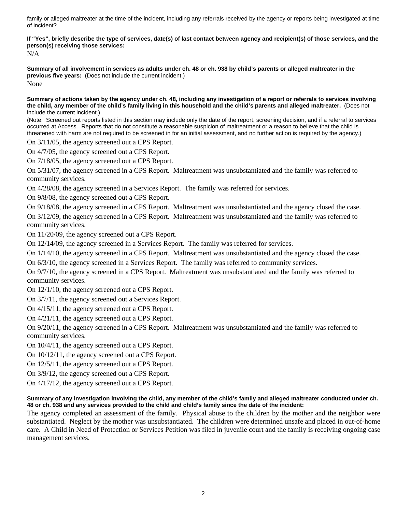family or alleged maltreater at the time of the incident, including any referrals received by the agency or reports being investigated at time of incident?

**If "Yes", briefly describe the type of services, date(s) of last contact between agency and recipient(s) of those services, and the person(s) receiving those services:** 

N/A

**Summary of all involvement in services as adults under ch. 48 or ch. 938 by child's parents or alleged maltreater in the previous five years:** (Does not include the current incident.) None

**Summary of actions taken by the agency under ch. 48, including any investigation of a report or referrals to services involving the child, any member of the child's family living in this household and the child's parents and alleged maltreater.** (Does not include the current incident.)

(Note: Screened out reports listed in this section may include only the date of the report, screening decision, and if a referral to services occurred at Access. Reports that do not constitute a reasonable suspicion of maltreatment or a reason to believe that the child is threatened with harm are not required to be screened in for an initial assessment, and no further action is required by the agency.)

On 3/11/05, the agency screened out a CPS Report.

On 4/7/05, the agency screened out a CPS Report.

On 7/18/05, the agency screened out a CPS Report.

On 5/31/07, the agency screened in a CPS Report. Maltreatment was unsubstantiated and the family was referred to community services.

On 4/28/08, the agency screened in a Services Report. The family was referred for services.

On 9/8/08, the agency screened out a CPS Report.

On 9/18/08, the agency screened in a CPS Report. Maltreatment was unsubstantiated and the agency closed the case. On 3/12/09, the agency screened in a CPS Report. Maltreatment was unsubstantiated and the family was referred to community services.

On 11/20/09, the agency screened out a CPS Report.

On 12/14/09, the agency screened in a Services Report. The family was referred for services.

On 1/14/10, the agency screened in a CPS Report. Maltreatment was unsubstantiated and the agency closed the case.

On 6/3/10, the agency screened in a Services Report. The family was referred to community services.

On 9/7/10, the agency screened in a CPS Report. Maltreatment was unsubstantiated and the family was referred to community services.

On 12/1/10, the agency screened out a CPS Report.

On 3/7/11, the agency screened out a Services Report.

On 4/15/11, the agency screened out a CPS Report.

On 4/21/11, the agency screened out a CPS Report.

On 9/20/11, the agency screened in a CPS Report. Maltreatment was unsubstantiated and the family was referred to community services.

On 10/4/11, the agency screened out a CPS Report.

On 10/12/11, the agency screened out a CPS Report.

On 12/5/11, the agency screened out a CPS Report.

On 3/9/12, the agency screened out a CPS Report.

On 4/17/12, the agency screened out a CPS Report.

#### **Summary of any investigation involving the child, any member of the child's family and alleged maltreater conducted under ch. 48 or ch. 938 and any services provided to the child and child's family since the date of the incident:**

The agency completed an assessment of the family. Physical abuse to the children by the mother and the neighbor were substantiated. Neglect by the mother was unsubstantiated. The children were determined unsafe and placed in out-of-home care. A Child in Need of Protection or Services Petition was filed in juvenile court and the family is receiving ongoing case management services.